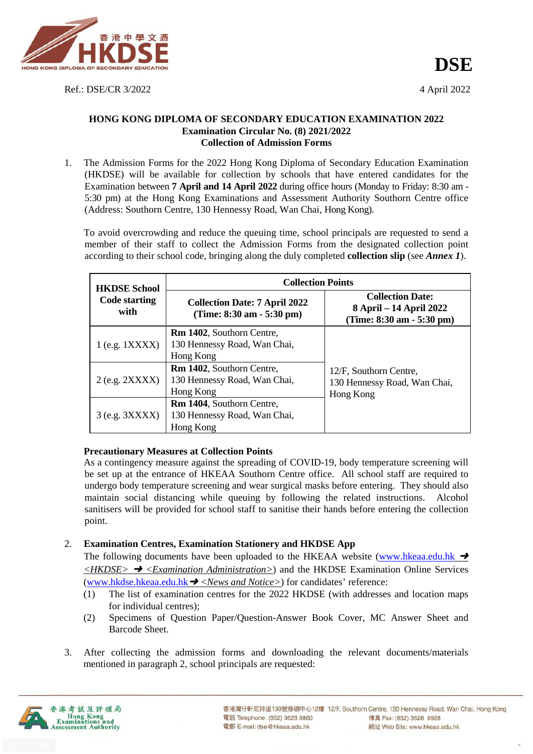

Ref.: DSE/CR 3/2022 4 April 2022

### **HONG KONG DIPLOMA OF SECONDARY EDUCATION EXAMINATION 2022 Examination Circular No. (8) 2021/2022 Collection of Admission Forms**

1. The Admission Forms for the 2022 Hong Kong Diploma of Secondary Education Examination (HKDSE) will be available for collection by schools that have entered candidates for the Examination between **7 April and 14 April 2022** during office hours (Monday to Friday: 8:30 am - 5:30 pm) at the Hong Kong Examinations and Assessment Authority Southorn Centre office (Address: Southorn Centre, 130 Hennessy Road, Wan Chai, Hong Kong).

To avoid overcrowding and reduce the queuing time, school principals are requested to send a member of their staff to collect the Admission Forms from the designated collection point according to their school code, bringing along the duly completed **collection slip** (see *Annex 1*).

| <b>HKDSE School</b>                                                                                  | <b>Collection Points</b>                                                             |                                                                                 |  |
|------------------------------------------------------------------------------------------------------|--------------------------------------------------------------------------------------|---------------------------------------------------------------------------------|--|
| <b>Code starting</b><br>with                                                                         | <b>Collection Date: 7 April 2022</b><br>(Time: $8:30 \text{ am} - 5:30 \text{ pm}$ ) | <b>Collection Date:</b><br>8 April – 14 April 2022<br>(Time: 8:30 am - 5:30 pm) |  |
| $1$ (e.g. $1XXXX$ )                                                                                  | <b>Rm 1402, Southorn Centre,</b><br>130 Hennessy Road, Wan Chai,<br>Hong Kong        |                                                                                 |  |
| $2$ (e.g. $2XXX$ )                                                                                   | <b>Rm 1402, Southorn Centre,</b><br>130 Hennessy Road, Wan Chai,<br>Hong Kong        | 12/F, Southorn Centre,<br>130 Hennessy Road, Wan Chai,<br>Hong Kong             |  |
| <b>Rm 1404, Southorn Centre,</b><br>130 Hennessy Road, Wan Chai,<br>$3$ (e.g. $3XXXX$ )<br>Hong Kong |                                                                                      |                                                                                 |  |

## **Precautionary Measures at Collection Points**

As a contingency measure against the spreading of COVID-19, body temperature screening will be set up at the entrance of HKEAA Southorn Centre office. All school staff are required to undergo body temperature screening and wear surgical masks before entering. They should also maintain social distancing while queuing by following the related instructions. Alcohol sanitisers will be provided for school staff to sanitise their hands before entering the collection point.

## 2. **Examination Centres, Examination Stationery and HKDSE App**

The following documents have been uploaded to the HKEAA website [\(www.hkeaa.edu.hk](http://www.hkeaa.edu.hk/)  $\rightarrow$ *<HKDSE>* ➜ *<Examination Administration>*) and the HKDSE Examination Online Services [\(www.hkdse.hkeaa.edu.hk](http://www.hkdse.hkeaa.edu.hk/)➜ *<News and Notice>*) for candidates' reference:

- (1) The list of examination centres for the 2022 HKDSE (with addresses and location maps for individual centres);
- (2) Specimens of Question Paper/Question-Answer Book Cover, MC Answer Sheet and Barcode Sheet.
- 3. After collecting the admission forms and downloading the relevant documents/materials mentioned in paragraph 2, school principals are requested:

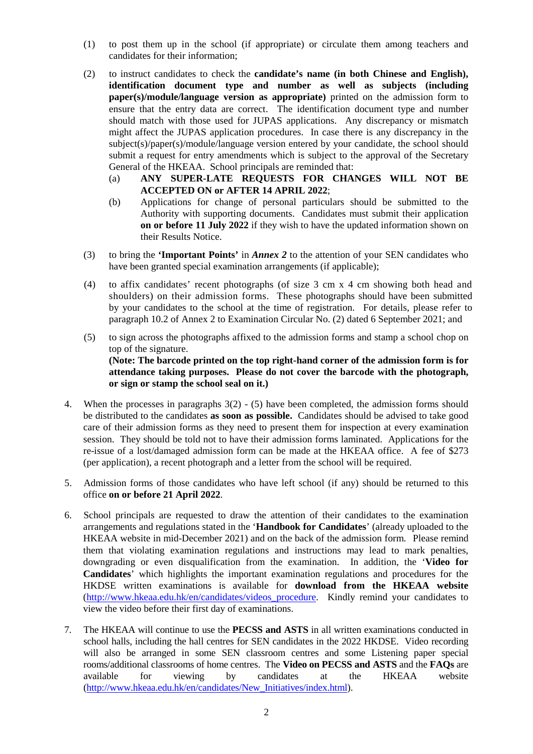- (1) to post them up in the school (if appropriate) or circulate them among teachers and candidates for their information;
- (2) to instruct candidates to check the **candidate's name (in both Chinese and English), identification document type and number as well as subjects (including paper(s)/module/language version as appropriate)** printed on the admission form to ensure that the entry data are correct. The identification document type and number should match with those used for JUPAS applications. Any discrepancy or mismatch might affect the JUPAS application procedures. In case there is any discrepancy in the subject(s)/paper(s)/module/language version entered by your candidate, the school should submit a request for entry amendments which is subject to the approval of the Secretary General of the HKEAA. School principals are reminded that:
	- (a) **ANY SUPER-LATE REQUESTS FOR CHANGES WILL NOT BE ACCEPTED ON or AFTER 14 APRIL 2022**;
	- (b) Applications for change of personal particulars should be submitted to the Authority with supporting documents. Candidates must submit their application **on or before 11 July 2022** if they wish to have the updated information shown on their Results Notice.
- (3) to bring the **'Important Points'** in *Annex 2* to the attention of your SEN candidates who have been granted special examination arrangements (if applicable);
- (4) to affix candidates' recent photographs (of size 3 cm x 4 cm showing both head and shoulders) on their admission forms. These photographs should have been submitted by your candidates to the school at the time of registration. For details, please refer to paragraph 10.2 of Annex 2 to Examination Circular No. (2) dated 6 September 2021; and
- (5) to sign across the photographs affixed to the admission forms and stamp a school chop on top of the signature. **(Note: The barcode printed on the top right-hand corner of the admission form is for attendance taking purposes. Please do not cover the barcode with the photograph, or sign or stamp the school seal on it.)**
- 4. When the processes in paragraphs 3(2) (5) have been completed, the admission forms should be distributed to the candidates **as soon as possible.** Candidates should be advised to take good care of their admission forms as they need to present them for inspection at every examination session. They should be told not to have their admission forms laminated. Applications for the re-issue of a lost/damaged admission form can be made at the HKEAA office. A fee of \$273 (per application), a recent photograph and a letter from the school will be required.
- 5. Admission forms of those candidates who have left school (if any) should be returned to this office **on or before 21 April 2022**.
- 6. School principals are requested to draw the attention of their candidates to the examination arrangements and regulations stated in the '**Handbook for Candidates**' (already uploaded to the HKEAA website in mid-December 2021) and on the back of the admission form. Please remind them that violating examination regulations and instructions may lead to mark penalties, downgrading or even disqualification from the examination. In addition, the '**Video for Candidates**' which highlights the important examination regulations and procedures for the HKDSE written examinations is available for **download from the HKEAA website**  (http://www.hkeaa.edu.hk/en/candidates/videos\_procedure. Kindly remind your candidates to view the video before their first day of examinations.
- 7. The HKEAA will continue to use the **PECSS and ASTS** in all written examinations conducted in school halls, including the hall centres for SEN candidates in the 2022 HKDSE. Video recording will also be arranged in some SEN classroom centres and some Listening paper special rooms/additional classrooms of home centres. The **Video on PECSS and ASTS** and the **FAQs** are available for viewing by candidates at the HKEAA website [\(http://www.hkeaa.edu.hk/en/candidates/New\\_Initiatives/index.html\)](http://www.hkeaa.edu.hk/en/candidates/New_Initiatives/index.html).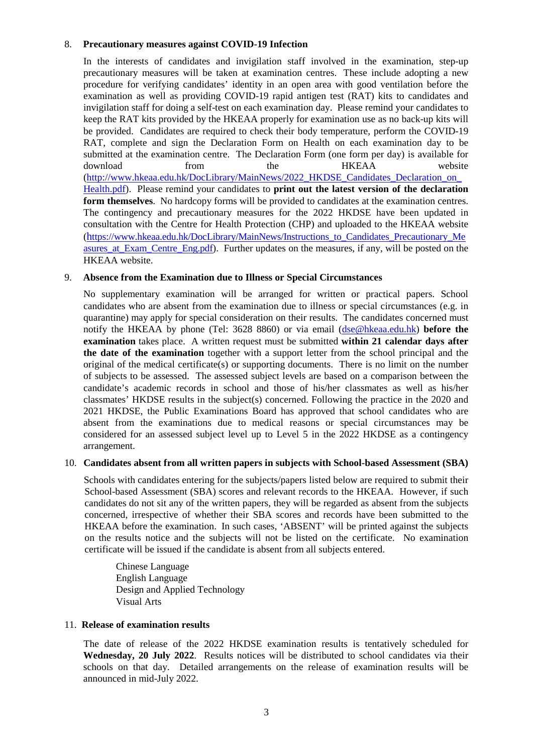### 8. **Precautionary measures against COVID-19 Infection**

In the interests of candidates and invigilation staff involved in the examination, step-up precautionary measures will be taken at examination centres. These include adopting a new procedure for verifying candidates' identity in an open area with good ventilation before the examination as well as providing COVID-19 rapid antigen test (RAT) kits to candidates and invigilation staff for doing a self-test on each examination day. Please remind your candidates to keep the RAT kits provided by the HKEAA properly for examination use as no back-up kits will be provided. Candidates are required to check their body temperature, perform the COVID-19 RAT, complete and sign the Declaration Form on Health on each examination day to be submitted at the examination centre. The Declaration Form (one form per day) is available for download from the HKEAA website (http://www.hkeaa.edu.hk/DocLibrary/MainNews/2022\_HKDSE\_Candidates\_Declaration\_on [Health.pdf\)](http://www.hkeaa.edu.hk/DocLibrary/MainNews/2022_HKDSE_Candidates_Declaration_on_Health.pdf). Please remind your candidates to **print out the latest version of the declaration form themselves**. No hardcopy forms will be provided to candidates at the examination centres. The contingency and precautionary measures for the 2022 HKDSE have been updated in consultation with the Centre for Health Protection (CHP) and uploaded to the HKEAA website (https://www.hkeaa.edu.hk/DocLibrary/MainNews/Instructions\_to\_Candidates\_Precautionary\_Me asures at Exam Centre Eng.pdf). Further updates on the measures, if any, will be posted on the HKEAA website.

#### 9. **Absence from the Examination due to Illness or Special Circumstances**

No supplementary examination will be arranged for written or practical papers. School candidates who are absent from the examination due to illness or special circumstances (e.g. in quarantine) may apply for special consideration on their results. The candidates concerned must notify the HKEAA by phone (Tel: 3628 8860) or via email [\(dse@hkeaa.edu.hk\)](mailto:dse@hkeaa.edu.hk) **before the examination** takes place. A written request must be submitted **within 21 calendar days after the date of the examination** together with a support letter from the school principal and the original of the medical certificate(s) or supporting documents. There is no limit on the number of subjects to be assessed. The assessed subject levels are based on a comparison between the candidate's academic records in school and those of his/her classmates as well as his/her classmates' HKDSE results in the subject(s) concerned. Following the practice in the 2020 and 2021 HKDSE, the Public Examinations Board has approved that school candidates who are absent from the examinations due to medical reasons or special circumstances may be considered for an assessed subject level up to Level 5 in the 2022 HKDSE as a contingency arrangement.

#### 10. **Candidates absent from all written papers in subjects with School-based Assessment (SBA)**

Schools with candidates entering for the subjects/papers listed below are required to submit their School-based Assessment (SBA) scores and relevant records to the HKEAA. However, if such candidates do not sit any of the written papers, they will be regarded as absent from the subjects concerned, irrespective of whether their SBA scores and records have been submitted to the HKEAA before the examination. In such cases, 'ABSENT' will be printed against the subjects on the results notice and the subjects will not be listed on the certificate. No examination certificate will be issued if the candidate is absent from all subjects entered.

Chinese Language English Language Design and Applied Technology Visual Arts

#### 11. **Release of examination results**

The date of release of the 2022 HKDSE examination results is tentatively scheduled for **Wednesday, 20 July 2022**. Results notices will be distributed to school candidates via their schools on that day. Detailed arrangements on the release of examination results will be announced in mid-July 2022.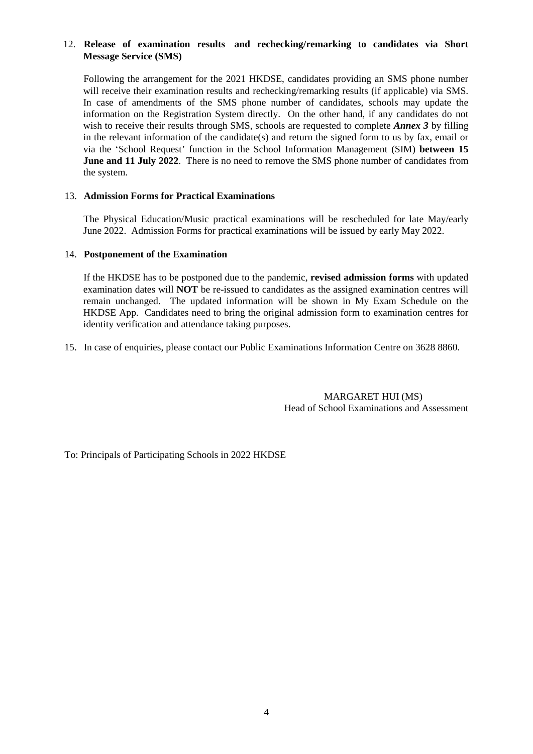## 12. **Release of examination results and rechecking/remarking to candidates via Short Message Service (SMS)**

Following the arrangement for the 2021 HKDSE, candidates providing an SMS phone number will receive their examination results and rechecking/remarking results (if applicable) via SMS. In case of amendments of the SMS phone number of candidates, schools may update the information on the Registration System directly. On the other hand, if any candidates do not wish to receive their results through SMS, schools are requested to complete *Annex 3* by filling in the relevant information of the candidate(s) and return the signed form to us by fax, email or via the 'School Request' function in the School Information Management (SIM) **between 15 June and 11 July 2022**. There is no need to remove the SMS phone number of candidates from the system.

### 13. **Admission Forms for Practical Examinations**

The Physical Education/Music practical examinations will be rescheduled for late May/early June 2022. Admission Forms for practical examinations will be issued by early May 2022.

### 14. **Postponement of the Examination**

If the HKDSE has to be postponed due to the pandemic, **revised admission forms** with updated examination dates will **NOT** be re-issued to candidates as the assigned examination centres will remain unchanged. The updated information will be shown in My Exam Schedule on the HKDSE App. Candidates need to bring the original admission form to examination centres for identity verification and attendance taking purposes.

15. In case of enquiries, please contact our Public Examinations Information Centre on 3628 8860.

 MARGARET HUI (MS) Head of School Examinations and Assessment

To: Principals of Participating Schools in 2022 HKDSE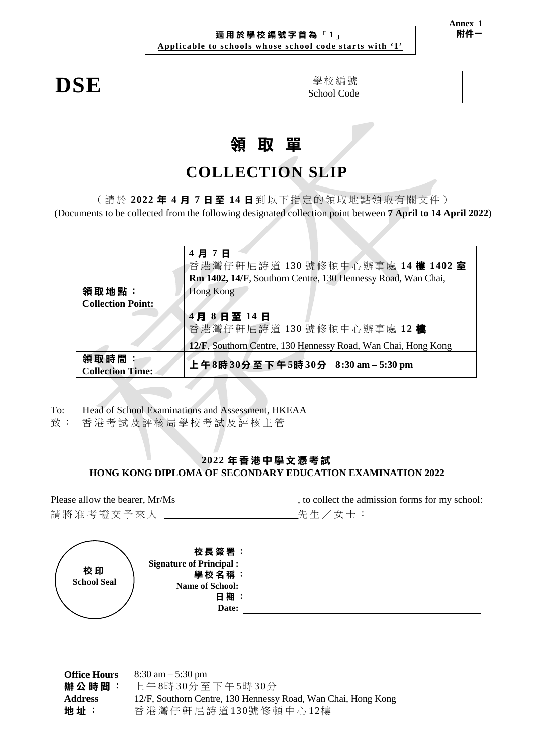## **適用於學校編號字首為** 「 **1**」 **Applicable to schools whose school code starts with '1'**

**DSE** 學校編號 School Code

# **領 取 單**

## **COLLECTION SLIP**

( 請 於 **2022 年 4 月 7 日 至 14 日** 到 以下指定的 領 取 地 點 領取有關文件 )

(Documents to be collected from the following designated collection point between **7 April to 14 April 2022**)

| 領取地點:                            | 4月7日<br>香港灣仔軒尼詩道 130號修頓中心辦事處 14樓 1402室<br>Rm 1402, 14/F, Southorn Centre, 130 Hennessy Road, Wan Chai,<br>Hong Kong |  |  |
|----------------------------------|---------------------------------------------------------------------------------------------------------------------|--|--|
| <b>Collection Point:</b>         |                                                                                                                     |  |  |
|                                  | 4月8日至14日<br>香港灣仔軒尼詩道 130號修頓中心辦事處 12 樓                                                                               |  |  |
|                                  | 12/F, Southorn Centre, 130 Hennessy Road, Wan Chai, Hong Kong                                                       |  |  |
| 領取時間:<br><b>Collection Time:</b> | 上午8時30分至下午5時30分 8:30 am-5:30 pm                                                                                     |  |  |

To: Head of School Examinations and Assessment, HKEAA

致 : 香港考試及評核局 學校考試及評核主管

## **2022 年香港中學文憑考試 HONG KONG DIPLOMA OF SECONDARY EDUCATION EXAMINATION 2022**

請將准考證交予來人 有一个 计二十一 先生/女士:

Please allow the bearer, Mr/Ms , to collect the admission forms for my school:

|                          | 校長簽署:<br><b>Signature of Principal:</b> |  |
|--------------------------|-----------------------------------------|--|
| 校印<br><b>School Seal</b> | 學校名稱:<br><b>Name of School:</b>         |  |
|                          | 日期:<br>Date:                            |  |

**Office Hours 辦公時間** : 8:30 am – 5:30 pm 上 午 8時 30分 至下午 5時 30分 **Address 地 址** : 12/F, Southorn Centre, 130 Hennessy Road, Wan Chai, Hong Kong 香港灣仔軒 尼詩道 130號修頓中心 12樓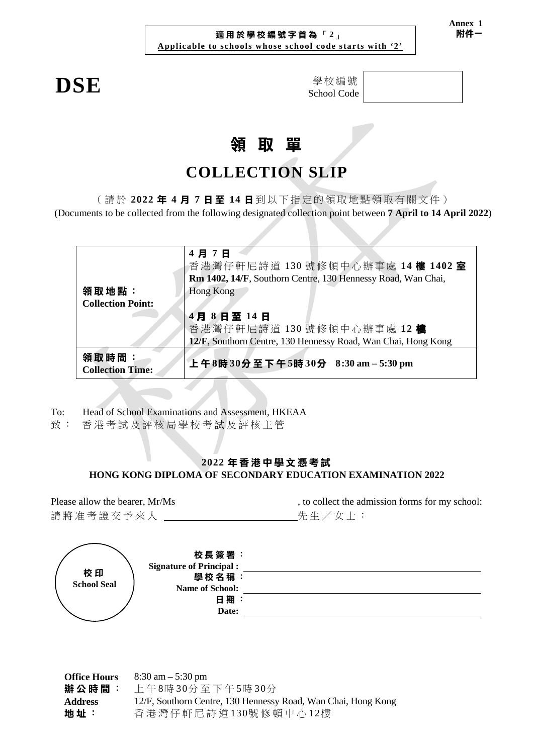## **適用於學校編號字首為** 「 **2**」 **Applicable to schools whose school code starts with '2'**

 $DSE$ 

| 學校編號        |
|-------------|
| School Code |

# **領 取 單**

## **COLLECTION SLIP**

( 請 於 **2022 年 4 月 7 日 至 14 日** 到 以下指定的 領 取 地 點 領取有關文件 )

(Documents to be collected from the following designated collection point between **7 April to 14 April 2022**)

|                                   | 4月7日<br>香港灣仔軒尼詩道 130號修頓中心辦事處 14樓 1402室<br>Rm 1402, 14/F, Southorn Centre, 130 Hennessy Road, Wan Chai, |
|-----------------------------------|--------------------------------------------------------------------------------------------------------|
| 領取地點:<br><b>Collection Point:</b> | Hong Kong                                                                                              |
|                                   | 4月8日至14日<br>香港灣仔軒尼詩道 130號修頓中心辦事處 12樓<br>12/F, Southorn Centre, 130 Hennessy Road, Wan Chai, Hong Kong  |
| 領取時間:<br><b>Collection Time:</b>  | 上午8時30分至下午5時30分 8:30 am-5:30 pm                                                                        |

To: Head of School Examinations and Assessment, HKEAA

致: 香港考試及評核局學校考試及評核主管

## **2022 年香港中學文憑考試 HONG KONG DIPLOMA OF SECONDARY EDUCATION EXAMINATION 2022**

請將准考證交予來人 \_\_\_\_\_\_\_\_\_\_\_\_\_\_\_\_\_\_\_\_\_\_\_\_先生 / 女士:

Please allow the bearer, Mr/Ms , to collect the admission forms for my school:

|                          | 校長簽署:<br><b>Signature of Principal:</b> |  |
|--------------------------|-----------------------------------------|--|
| 校印<br><b>School Seal</b> | 學校名稱:<br>Name of School:                |  |
|                          | 日期:<br>Date:                            |  |

**Office Hours 辦公時間** : 8:30 am – 5:30 pm 上 午 8時 30分 至下午 5時 30分 **Address 地 址** : 12/F, Southorn Centre, 130 Hennessy Road, Wan Chai, Hong Kong 香港灣仔軒尼詩道 130號修頓中心 12樓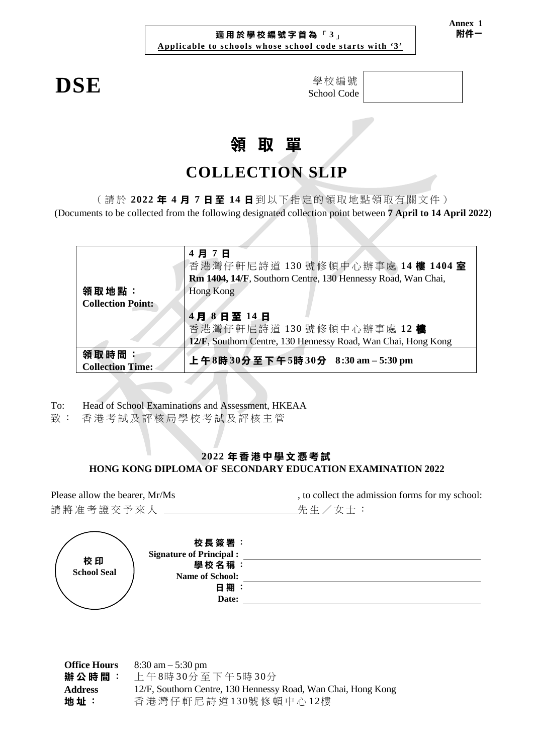### **適用於學校編號字首為** 「 **3**」 **Applicable to schools whose school code starts with '3'**

 $DSE$ 

| 學校編號        |
|-------------|
| School Code |

# **領 取 單**

## **COLLECTION SLIP**

( 請 於 **2022 年 4 月 7 日 至 14 日** 到 以下指定的 領 取 地 點 領取有關文件 )

(Documents to be collected from the following designated collection point between **7 April to 14 April 2022**)

|                                   | 4月7日<br>香港灣仔軒尼詩道 130號修頓中心辦事處 14樓 1404室<br>Rm 1404, 14/F, Southorn Centre, 130 Hennessy Road, Wan Chai, |
|-----------------------------------|--------------------------------------------------------------------------------------------------------|
| 領取地點:<br><b>Collection Point:</b> | Hong Kong                                                                                              |
|                                   | 4月8日至14日                                                                                               |
|                                   | 香港灣仔軒尼詩道 130號修頓中心辦事處 12樓                                                                               |
|                                   | 12/F, Southorn Centre, 130 Hennessy Road, Wan Chai, Hong Kong                                          |
| 領取時間:<br><b>Collection Time:</b>  | 上午8時30分至下午5時30分 8:30 am-5:30 pm                                                                        |

To: Head of School Examinations and Assessment, HKEAA

致 : 香港考試及評核局 學校考試及評核主管

## **2022 年香港中學文憑考試 HONG KONG DIPLOMA OF SECONDARY EDUCATION EXAMINATION 2022**

Please allow the bearer, Mr/Ms , to collect the admission forms for my school: 請將准考證交予來人 \_\_\_\_\_\_\_\_\_\_\_\_\_\_\_\_\_\_\_\_\_\_\_先生/女士:

|                          | 校長簽署:                          |  |
|--------------------------|--------------------------------|--|
| 校印<br><b>School Seal</b> | <b>Signature of Principal:</b> |  |
|                          | 學校名稱:                          |  |
|                          | <b>Name of School:</b>         |  |
|                          | 日期                             |  |
|                          | Date:                          |  |
|                          |                                |  |

**Office Hours 辦公時間** : 8:30 am – 5:30 pm 上 午 8時 30分 至下午 5時 30分 **Address 地 址** : 12/F, Southorn Centre, 130 Hennessy Road, Wan Chai, Hong Kong 香港灣仔軒 尼詩道 130號修頓中心 12樓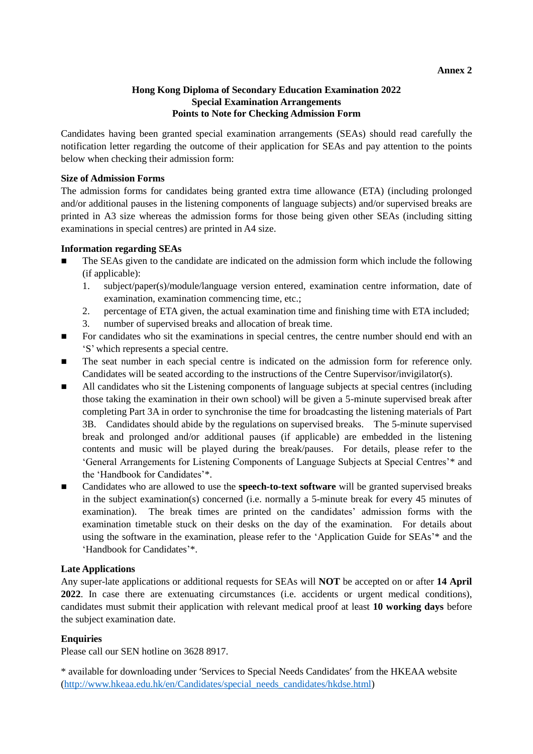#### **Annex 2**

### **Hong Kong Diploma of Secondary Education Examination 2022 Special Examination Arrangements Points to Note for Checking Admission Form**

Candidates having been granted special examination arrangements (SEAs) should read carefully the notification letter regarding the outcome of their application for SEAs and pay attention to the points below when checking their admission form:

### **Size of Admission Forms**

The admission forms for candidates being granted extra time allowance (ETA) (including prolonged and/or additional pauses in the listening components of language subjects) and/or supervised breaks are printed in A3 size whereas the admission forms for those being given other SEAs (including sitting examinations in special centres) are printed in A4 size.

### **Information regarding SEAs**

- The SEAs given to the candidate are indicated on the admission form which include the following (if applicable):
	- 1. subject/paper(s)/module/language version entered, examination centre information, date of examination, examination commencing time, etc.;
	- 2. percentage of ETA given, the actual examination time and finishing time with ETA included;
	- 3. number of supervised breaks and allocation of break time.
- For candidates who sit the examinations in special centres, the centre number should end with an 'S' which represents a special centre.
- The seat number in each special centre is indicated on the admission form for reference only. Candidates will be seated according to the instructions of the Centre Supervisor/invigilator(s).
- All candidates who sit the Listening components of language subjects at special centres (including those taking the examination in their own school) will be given a 5-minute supervised break after completing Part 3A in order to synchronise the time for broadcasting the listening materials of Part 3B. Candidates should abide by the regulations on supervised breaks. The 5-minute supervised break and prolonged and/or additional pauses (if applicable) are embedded in the listening contents and music will be played during the break/pauses. For details, please refer to the 'General Arrangements for Listening Components of Language Subjects at Special Centres'\* and the 'Handbook for Candidates'\*.
- Candidates who are allowed to use the **speech-to-text software** will be granted supervised breaks in the subject examination(s) concerned (i.e. normally a 5-minute break for every 45 minutes of examination). The break times are printed on the candidates' admission forms with the examination timetable stuck on their desks on the day of the examination. For details about using the software in the examination, please refer to the 'Application Guide for SEAs'\* and the 'Handbook for Candidates'\*.

### **Late Applications**

Any super-late applications or additional requests for SEAs will **NOT** be accepted on or after **14 April 2022**. In case there are extenuating circumstances (i.e. accidents or urgent medical conditions), candidates must submit their application with relevant medical proof at least **10 working days** before the subject examination date.

## **Enquiries**

Please call our SEN hotline on 3628 8917.

\* available for downloading under 'Services to Special Needs Candidates' from the HKEAA website [\(http://www.hkeaa.edu.hk/en/Candidates/special\\_needs\\_candidates/hkdse.html\)](http://www.hkeaa.edu.hk/en/Candidates/special_needs_candidates/hkdse.html)